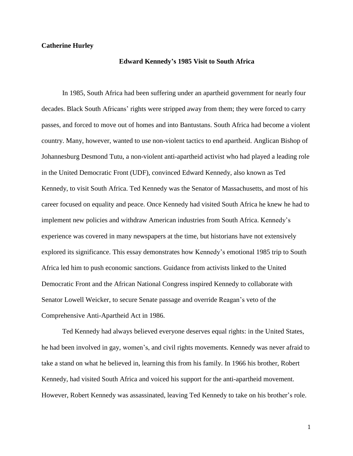## **Catherine Hurley**

### **Edward Kennedy's 1985 Visit to South Africa**

In 1985, South Africa had been suffering under an apartheid government for nearly four decades. Black South Africans' rights were stripped away from them; they were forced to carry passes, and forced to move out of homes and into Bantustans. South Africa had become a violent country. Many, however, wanted to use non-violent tactics to end apartheid. Anglican Bishop of Johannesburg Desmond Tutu, a non-violent anti-apartheid activist who had played a leading role in the United Democratic Front (UDF), convinced Edward Kennedy, also known as Ted Kennedy, to visit South Africa. Ted Kennedy was the Senator of Massachusetts, and most of his career focused on equality and peace. Once Kennedy had visited South Africa he knew he had to implement new policies and withdraw American industries from South Africa. Kennedy's experience was covered in many newspapers at the time, but historians have not extensively explored its significance. This essay demonstrates how Kennedy's emotional 1985 trip to South Africa led him to push economic sanctions. Guidance from activists linked to the United Democratic Front and the African National Congress inspired Kennedy to collaborate with Senator Lowell Weicker, to secure Senate passage and override Reagan's veto of the Comprehensive Anti-Apartheid Act in 1986.

Ted Kennedy had always believed everyone deserves equal rights: in the United States, he had been involved in gay, women's, and civil rights movements. Kennedy was never afraid to take a stand on what he believed in, learning this from his family. In 1966 his brother, Robert Kennedy, had visited South Africa and voiced his support for the anti-apartheid movement. However, Robert Kennedy was assassinated, leaving Ted Kennedy to take on his brother's role.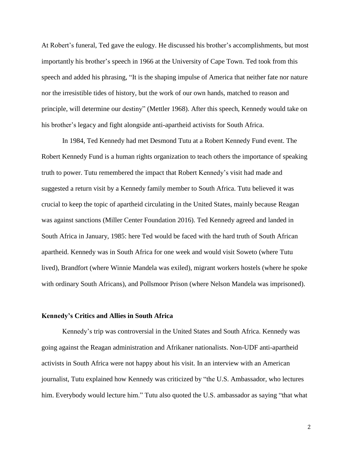At Robert's funeral, Ted gave the eulogy. He discussed his brother's accomplishments, but most importantly his brother's speech in 1966 at the University of Cape Town. Ted took from this speech and added his phrasing, "It is the shaping impulse of America that neither fate nor nature nor the irresistible tides of history, but the work of our own hands, matched to reason and principle, will determine our destiny" (Mettler 1968). After this speech, Kennedy would take on his brother's legacy and fight alongside anti-apartheid activists for South Africa.

In 1984, Ted Kennedy had met Desmond Tutu at a Robert Kennedy Fund event. The Robert Kennedy Fund is a human rights organization to teach others the importance of speaking truth to power. Tutu remembered the impact that Robert Kennedy's visit had made and suggested a return visit by a Kennedy family member to South Africa. Tutu believed it was crucial to keep the topic of apartheid circulating in the United States, mainly because Reagan was against sanctions (Miller Center Foundation 2016). Ted Kennedy agreed and landed in South Africa in January, 1985: here Ted would be faced with the hard truth of South African apartheid. Kennedy was in South Africa for one week and would visit Soweto (where Tutu lived), Brandfort (where Winnie Mandela was exiled), migrant workers hostels (where he spoke with ordinary South Africans), and Pollsmoor Prison (where Nelson Mandela was imprisoned).

#### **Kennedy's Critics and Allies in South Africa**

Kennedy's trip was controversial in the United States and South Africa. Kennedy was going against the Reagan administration and Afrikaner nationalists. Non-UDF anti-apartheid activists in South Africa were not happy about his visit. In an interview with an American journalist, Tutu explained how Kennedy was criticized by "the U.S. Ambassador, who lectures him. Everybody would lecture him." Tutu also quoted the U.S. ambassador as saying "that what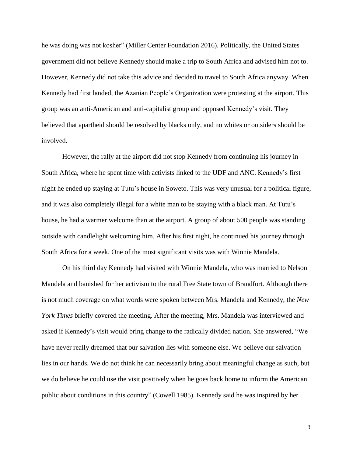he was doing was not kosher" (Miller Center Foundation 2016). Politically, the United States government did not believe Kennedy should make a trip to South Africa and advised him not to. However, Kennedy did not take this advice and decided to travel to South Africa anyway. When Kennedy had first landed, the Azanian People's Organization were protesting at the airport. This group was an anti-American and anti-capitalist group and opposed Kennedy's visit. They believed that apartheid should be resolved by blacks only, and no whites or outsiders should be involved.

However, the rally at the airport did not stop Kennedy from continuing his journey in South Africa, where he spent time with activists linked to the UDF and ANC. Kennedy's first night he ended up staying at Tutu's house in Soweto. This was very unusual for a political figure, and it was also completely illegal for a white man to be staying with a black man. At Tutu's house, he had a warmer welcome than at the airport. A group of about 500 people was standing outside with candlelight welcoming him. After his first night, he continued his journey through South Africa for a week. One of the most significant visits was with Winnie Mandela.

On his third day Kennedy had visited with Winnie Mandela, who was married to Nelson Mandela and banished for her activism to the rural Free State town of Brandfort. Although there is not much coverage on what words were spoken between Mrs. Mandela and Kennedy, the *New York Times* briefly covered the meeting. After the meeting, Mrs. Mandela was interviewed and asked if Kennedy's visit would bring change to the radically divided nation. She answered, "We have never really dreamed that our salvation lies with someone else. We believe our salvation lies in our hands. We do not think he can necessarily bring about meaningful change as such, but we do believe he could use the visit positively when he goes back home to inform the American public about conditions in this country" (Cowell 1985). Kennedy said he was inspired by her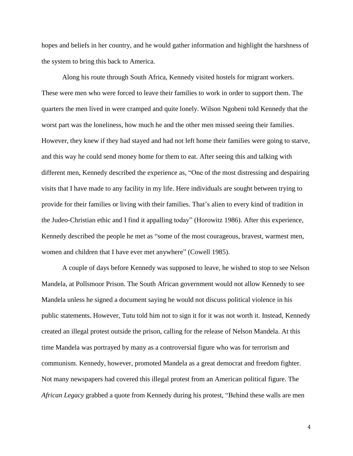hopes and beliefs in her country, and he would gather information and highlight the harshness of the system to bring this back to America.

Along his route through South Africa, Kennedy visited hostels for migrant workers. These were men who were forced to leave their families to work in order to support them. The quarters the men lived in were cramped and quite lonely. Wilson Ngobeni told Kennedy that the worst part was the loneliness, how much he and the other men missed seeing their families. However, they knew if they had stayed and had not left home their families were going to starve, and this way he could send money home for them to eat. After seeing this and talking with different men, Kennedy described the experience as, "One of the most distressing and despairing visits that I have made to any facility in my life. Here individuals are sought between trying to provide for their families or living with their families. That's alien to every kind of tradition in the Judeo-Christian ethic and I find it appalling today" (Horowitz 1986). After this experience, Kennedy described the people he met as "some of the most courageous, bravest, warmest men, women and children that I have ever met anywhere" (Cowell 1985).

A couple of days before Kennedy was supposed to leave, he wished to stop to see Nelson Mandela, at Pollsmoor Prison. The South African government would not allow Kennedy to see Mandela unless he signed a document saying he would not discuss political violence in his public statements. However, Tutu told him not to sign it for it was not worth it. Instead, Kennedy created an illegal protest outside the prison, calling for the release of Nelson Mandela. At this time Mandela was portrayed by many as a controversial figure who was for terrorism and communism. Kennedy, however, promoted Mandela as a great democrat and freedom fighter. Not many newspapers had covered this illegal protest from an American political figure. The *African Legacy* grabbed a quote from Kennedy during his protest, "Behind these walls are men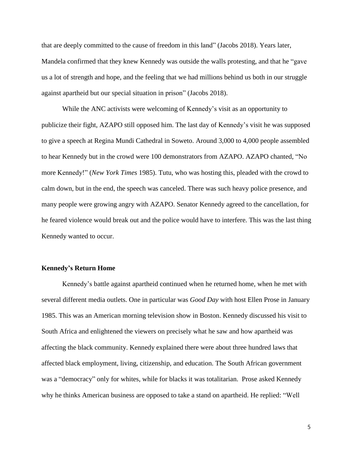that are deeply committed to the cause of freedom in this land" (Jacobs 2018). Years later, Mandela confirmed that they knew Kennedy was outside the walls protesting, and that he "gave us a lot of strength and hope, and the feeling that we had millions behind us both in our struggle against apartheid but our special situation in prison" (Jacobs 2018).

While the ANC activists were welcoming of Kennedy's visit as an opportunity to publicize their fight, AZAPO still opposed him. The last day of Kennedy's visit he was supposed to give a speech at Regina Mundi Cathedral in Soweto. Around 3,000 to 4,000 people assembled to hear Kennedy but in the crowd were 100 demonstrators from AZAPO. AZAPO chanted, "No more Kennedy!" (*New York Times* 1985). Tutu, who was hosting this, pleaded with the crowd to calm down, but in the end, the speech was canceled. There was such heavy police presence, and many people were growing angry with AZAPO. Senator Kennedy agreed to the cancellation, for he feared violence would break out and the police would have to interfere. This was the last thing Kennedy wanted to occur.

### **Kennedy's Return Home**

Kennedy's battle against apartheid continued when he returned home, when he met with several different media outlets. One in particular was *Good Day* with host Ellen Prose in January 1985. This was an American morning television show in Boston. Kennedy discussed his visit to South Africa and enlightened the viewers on precisely what he saw and how apartheid was affecting the black community. Kennedy explained there were about three hundred laws that affected black employment, living, citizenship, and education. The South African government was a "democracy" only for whites, while for blacks it was totalitarian. Prose asked Kennedy why he thinks American business are opposed to take a stand on apartheid. He replied: "Well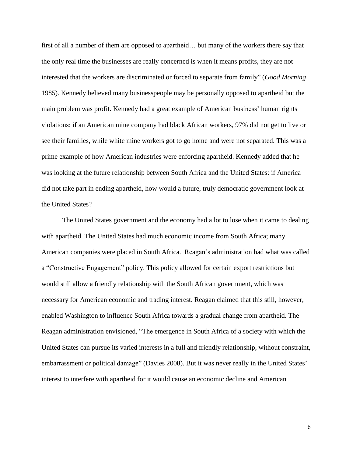first of all a number of them are opposed to apartheid… but many of the workers there say that the only real time the businesses are really concerned is when it means profits, they are not interested that the workers are discriminated or forced to separate from family" (*Good Morning* 1985). Kennedy believed many businesspeople may be personally opposed to apartheid but the main problem was profit. Kennedy had a great example of American business' human rights violations: if an American mine company had black African workers, 97% did not get to live or see their families, while white mine workers got to go home and were not separated. This was a prime example of how American industries were enforcing apartheid. Kennedy added that he was looking at the future relationship between South Africa and the United States: if America did not take part in ending apartheid, how would a future, truly democratic government look at the United States?

The United States government and the economy had a lot to lose when it came to dealing with apartheid. The United States had much economic income from South Africa; many American companies were placed in South Africa. Reagan's administration had what was called a "Constructive Engagement" policy. This policy allowed for certain export restrictions but would still allow a friendly relationship with the South African government, which was necessary for American economic and trading interest. Reagan claimed that this still, however, enabled Washington to influence South Africa towards a gradual change from apartheid. The Reagan administration envisioned, "The emergence in South Africa of a society with which the United States can pursue its varied interests in a full and friendly relationship, without constraint, embarrassment or political damage" (Davies 2008). But it was never really in the United States' interest to interfere with apartheid for it would cause an economic decline and American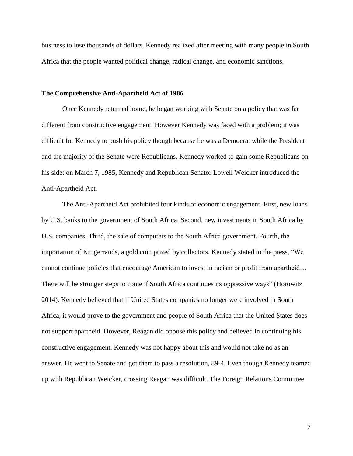business to lose thousands of dollars. Kennedy realized after meeting with many people in South Africa that the people wanted political change, radical change, and economic sanctions.

#### **The Comprehensive Anti-Apartheid Act of 1986**

Once Kennedy returned home, he began working with Senate on a policy that was far different from constructive engagement. However Kennedy was faced with a problem; it was difficult for Kennedy to push his policy though because he was a Democrat while the President and the majority of the Senate were Republicans. Kennedy worked to gain some Republicans on his side: on March 7, 1985, Kennedy and Republican Senator Lowell Weicker introduced the Anti-Apartheid Act.

The Anti-Apartheid Act prohibited four kinds of economic engagement. First, new loans by U.S. banks to the government of South Africa. Second, new investments in South Africa by U.S. companies. Third, the sale of computers to the South Africa government. Fourth, the importation of Krugerrands, a gold coin prized by collectors. Kennedy stated to the press, "We cannot continue policies that encourage American to invest in racism or profit from apartheid… There will be stronger steps to come if South Africa continues its oppressive ways" (Horowitz 2014). Kennedy believed that if United States companies no longer were involved in South Africa, it would prove to the government and people of South Africa that the United States does not support apartheid. However, Reagan did oppose this policy and believed in continuing his constructive engagement. Kennedy was not happy about this and would not take no as an answer. He went to Senate and got them to pass a resolution, 89-4. Even though Kennedy teamed up with Republican Weicker, crossing Reagan was difficult. The Foreign Relations Committee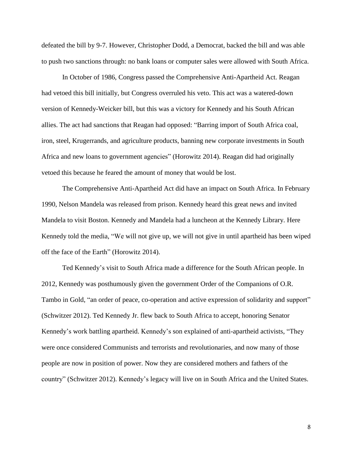defeated the bill by 9-7. However, Christopher Dodd, a Democrat, backed the bill and was able to push two sanctions through: no bank loans or computer sales were allowed with South Africa.

In October of 1986, Congress passed the Comprehensive Anti-Apartheid Act. Reagan had vetoed this bill initially, but Congress overruled his veto. This act was a watered-down version of Kennedy-Weicker bill, but this was a victory for Kennedy and his South African allies. The act had sanctions that Reagan had opposed: "Barring import of South Africa coal, iron, steel, Krugerrands, and agriculture products, banning new corporate investments in South Africa and new loans to government agencies" (Horowitz 2014). Reagan did had originally vetoed this because he feared the amount of money that would be lost.

The Comprehensive Anti-Apartheid Act did have an impact on South Africa. In February 1990, Nelson Mandela was released from prison. Kennedy heard this great news and invited Mandela to visit Boston. Kennedy and Mandela had a luncheon at the Kennedy Library. Here Kennedy told the media, "We will not give up, we will not give in until apartheid has been wiped off the face of the Earth" (Horowitz 2014).

Ted Kennedy's visit to South Africa made a difference for the South African people. In 2012, Kennedy was posthumously given the government Order of the Companions of O.R. Tambo in Gold, "an order of peace, co-operation and active expression of solidarity and support" (Schwitzer 2012). Ted Kennedy Jr. flew back to South Africa to accept, honoring Senator Kennedy's work battling apartheid. Kennedy's son explained of anti-apartheid activists, "They were once considered Communists and terrorists and revolutionaries, and now many of those people are now in position of power. Now they are considered mothers and fathers of the country" (Schwitzer 2012). Kennedy's legacy will live on in South Africa and the United States.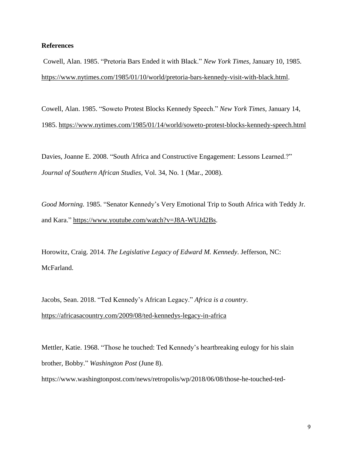# **References**

Cowell, Alan. 1985. "Pretoria Bars Ended it with Black." *New York Times,* January 10, 1985. [https://www.nytimes.com/1985/01/10/world/pretoria-bars-kennedy-visit-with-black.html.](https://www.nytimes.com/1985/01/10/world/pretoria-bars-kennedy-visit-with-black.html)

Cowell, Alan. 1985. "Soweto Protest Blocks Kennedy Speech." *New York Times,* January 14, 1985. <https://www.nytimes.com/1985/01/14/world/soweto-protest-blocks-kennedy-speech.html>

Davies, Joanne E. 2008. "South Africa and Constructive Engagement: Lessons Learned.?" *Journal of Southern African Studies,* Vol. 34, No. 1 (Mar., 2008).

*Good Morning.* 1985. "Senator Kennedy's Very Emotional Trip to South Africa with Teddy Jr. and Kara." [https://www.youtube.com/watch?v=J8A-WUJd2Bs.](https://www.youtube.com/watch?v=J8A-WUJd2Bs)

Horowitz, Craig. 2014. *The Legislative Legacy of Edward M. Kennedy*. Jefferson, NC: McFarland.

Jacobs, Sean. 2018. "Ted Kennedy's African Legacy." *Africa is a country*. <https://africasacountry.com/2009/08/ted-kennedys-legacy-in-africa>

Mettler, Katie. 1968. "Those he touched: Ted Kennedy's heartbreaking eulogy for his slain brother, Bobby." *Washington Post* (June 8).

https://www.washingtonpost.com/news/retropolis/wp/2018/06/08/those-he-touched-ted-